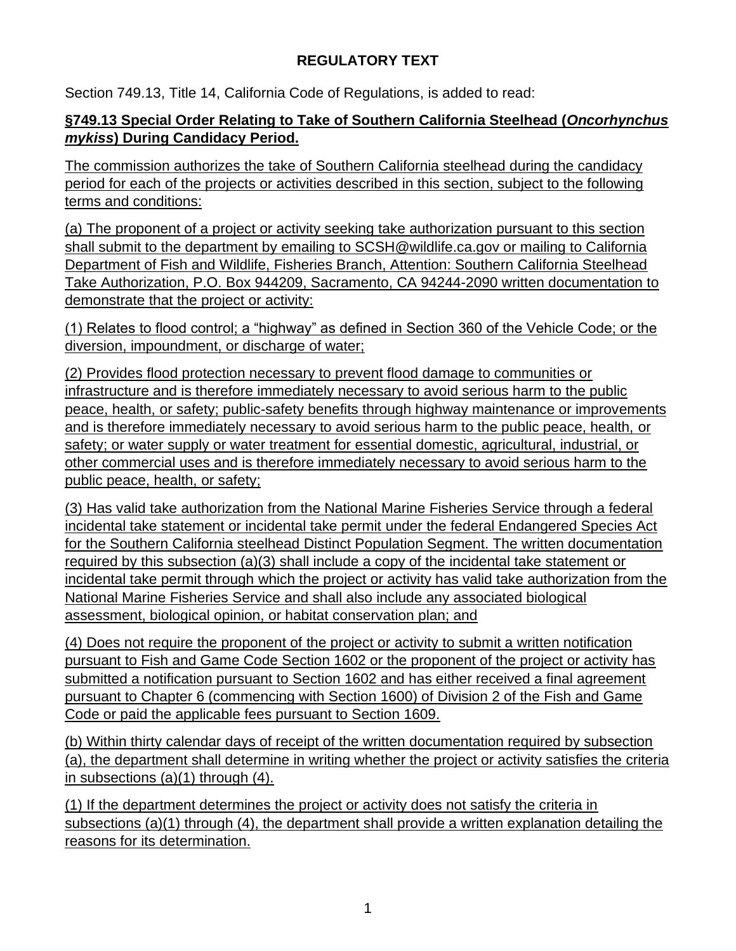## **REGULATORY TEXT**

Section 749.13, Title 14, California Code of Regulations, is added to read:

## **§749.13 Special Order Relating to Take of Southern California Steelhead (***Oncorhynchus mykiss***) During Candidacy Period.**

The commission authorizes the take of Southern California steelhead during the candidacy period for each of the projects or activities described in this section, subject to the following terms and conditions:

(a) The proponent of a project or activity seeking take authorization pursuant to this section shall submit to the department by emailing to SCSH@wildlife.ca.gov or mailing to California Department of Fish and Wildlife, Fisheries Branch, Attention: Southern California Steelhead Take Authorization, P.O. Box 944209, Sacramento, CA 94244-2090 written documentation to demonstrate that the project or activity:

(1) Relates to flood control; a "highway" as defined in Section 360 of the Vehicle Code; or the diversion, impoundment, or discharge of water;

(2) Provides flood protection necessary to prevent flood damage to communities or infrastructure and is therefore immediately necessary to avoid serious harm to the public peace, health, or safety; public-safety benefits through highway maintenance or improvements and is therefore immediately necessary to avoid serious harm to the public peace, health, or safety; or water supply or water treatment for essential domestic, agricultural, industrial, or other commercial uses and is therefore immediately necessary to avoid serious harm to the public peace, health, or safety;

(3) Has valid take authorization from the National Marine Fisheries Service through a federal incidental take statement or incidental take permit under the federal Endangered Species Act for the Southern California steelhead Distinct Population Segment. The written documentation required by this subsection (a)(3) shall include a copy of the incidental take statement or incidental take permit through which the project or activity has valid take authorization from the National Marine Fisheries Service and shall also include any associated biological assessment, biological opinion, or habitat conservation plan; and

(4) Does not require the proponent of the project or activity to submit a written notification pursuant to Fish and Game Code Section 1602 or the proponent of the project or activity has submitted a notification pursuant to Section 1602 and has either received a final agreement pursuant to Chapter 6 (commencing with Section 1600) of Division 2 of the Fish and Game Code or paid the applicable fees pursuant to Section 1609.

(b) Within thirty calendar days of receipt of the written documentation required by subsection (a), the department shall determine in writing whether the project or activity satisfies the criteria in subsections (a)(1) through (4).

(1) If the department determines the project or activity does not satisfy the criteria in subsections (a)(1) through (4), the department shall provide a written explanation detailing the reasons for its determination.